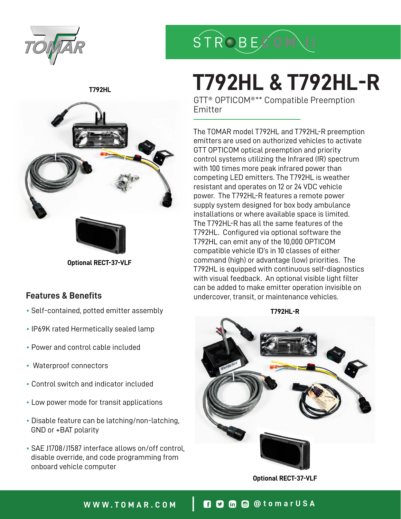

**STROBECO** 

# **T792HL & T792HL-R**

GTT® OPTICOM®\*\* Compatible Preemption Emitter

The TOMAR model T792HL and T792HL-R preemption emitters are used on authorized vehicles to activate GTT OPTICOM optical preemption and priority control systems utilizing the Infrared (IR) spectrum with 100 times more peak infrared power than competing LED emitters. The T792HL is weather resistant and operates on 12 or 24 VDC vehicle power. The T792HL-R features a remote power supply system designed for box body ambulance installations or where available space is limited. The T792HL-R has all the same features of the T792HL. Configured via optional software the T792HL can emit any of the 10,000 OPTICOM compatible vehicle ID's in 10 classes of either command (high) or advantage (low) priorities. The T792HL is equipped with continuous self-diagnostics with visual feedback. An optional visible light filter can be added to make emitter operation invisible on undercover, transit, or maintenance vehicles.



**Optional RECT-37-VLF**

### **T792HL**



**Optional RECT-37-VLF**

### **Features & Benefits**

- Self-contained, potted emitter assembly **T792HL-R**
- IP69K rated Hermetically sealed lamp
- Power and control cable included
- Waterproof connectors
- Control switch and indicator included
- Low power mode for transit applications
- Disable feature can be latching/non-latching, GND or +BAT polarity
- SAE J1708/J1587 interface allows on/off control, disable override, and code programming from onboard vehicle computer

# **WWW.TOMAR.COM @tomarUSA**